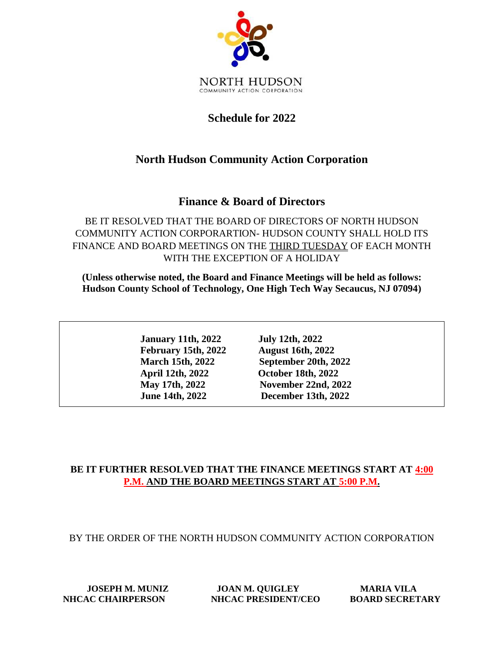

### **Schedule for 2022**

## **North Hudson Community Action Corporation**

#### **Finance & Board of Directors**

BE IT RESOLVED THAT THE BOARD OF DIRECTORS OF NORTH HUDSON COMMUNITY ACTION CORPORARTION- HUDSON COUNTY SHALL HOLD ITS FINANCE AND BOARD MEETINGS ON THE THIRD TUESDAY OF EACH MONTH WITH THE EXCEPTION OF A HOLIDAY

**(Unless otherwise noted, the Board and Finance Meetings will be held as follows: Hudson County School of Technology, One High Tech Way Secaucus, NJ 07094)**

> **January 11th, 2022 July 12th, 2022 February 15th, 2022 August 16th, 2022 April 12th, 2022 October 18th, 2022**

 **March 15th, 2022 September 20th, 2022 May 17th, 2022 November 22nd, 2022 June 14th, 2022 December 13th, 2022**

#### **BE IT FURTHER RESOLVED THAT THE FINANCE MEETINGS START AT 4:00 P.M. AND THE BOARD MEETINGS START AT 5:00 P.M.**

BY THE ORDER OF THE NORTH HUDSON COMMUNITY ACTION CORPORATION

**JOSEPH M. MUNIZ JOAN M. QUIGLEY MARIA VILA NHCAC CHAIRPERSON NHCAC PRESIDENT/CEO BOARD SECRETARY**